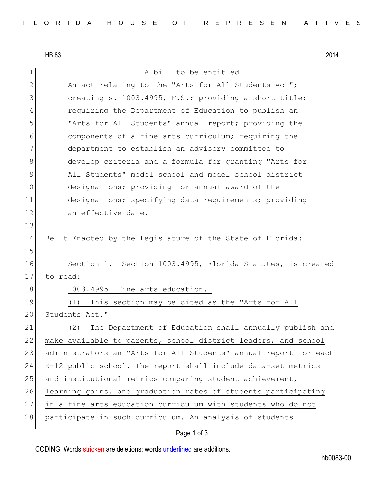HB 83 2014

1 a bill to be entitled 2 An act relating to the "Arts for All Students Act"; 3 3 creating s. 1003.4995, F.S.; providing a short title; 4 requiring the Department of Education to publish an 5 "Arts for All Students" annual report; providing the 6 components of a fine arts curriculum; requiring the 7 department to establish an advisory committee to 8 develop criteria and a formula for granting "Arts for 9 All Students" model school and model school district 10 designations; providing for annual award of the 11 designations; specifying data requirements; providing 12 an effective date. 13 14 Be It Enacted by the Legislature of the State of Florida: 15 16 Section 1. Section 1003.4995, Florida Statutes, is created 17 to read: 18 1003.4995 Fine arts education.-19 (1) This section may be cited as the "Arts for All 20 Students Act." 21 (2) The Department of Education shall annually publish and 22 make available to parents, school district leaders, and school 23 administrators an "Arts for All Students" annual report for each 24 K-12 public school. The report shall include data-set metrics 25 and institutional metrics comparing student achievement, 26 learning gains, and graduation rates of students participating 27 in a fine arts education curriculum with students who do not 28 participate in such curriculum. An analysis of students

## Page 1 of 3

CODING: Words stricken are deletions; words underlined are additions.

hb0083-00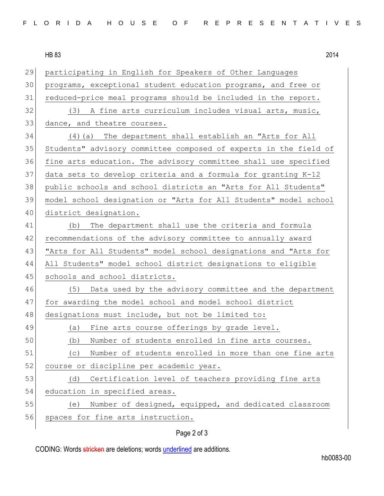## HB 83 2014

29 participating in English for Speakers of Other Languages 30 programs, exceptional student education programs, and free or 31 reduced-price meal programs should be included in the report. 32 (3) A fine arts curriculum includes visual arts, music, 33 dance, and theatre courses. 34 (4)(a) The department shall establish an "Arts for All 35 Students" advisory committee composed of experts in the field of 36 fine arts education. The advisory committee shall use specified 37 data sets to develop criteria and a formula for granting K-12 38 public schools and school districts an "Arts for All Students" 39 model school designation or "Arts for All Students" model school 40 district designation. 41 (b) The department shall use the criteria and formula 42 recommendations of the advisory committee to annually award 43 "Arts for All Students" model school designations and "Arts for 44 All Students" model school district designations to eligible 45 schools and school districts. 46 (5) Data used by the advisory committee and the department 47 for awarding the model school and model school district 48 designations must include, but not be limited to: 49 (a) Fine arts course offerings by grade level. 50 (b) Number of students enrolled in fine arts courses. 51 (c) Number of students enrolled in more than one fine arts 52 course or discipline per academic year. 53 (d) Certification level of teachers providing fine arts 54 education in specified areas. 55 (e) Number of designed, equipped, and dedicated classroom 56 spaces for fine arts instruction.

## Page 2 of 3

CODING: Words stricken are deletions; words underlined are additions.